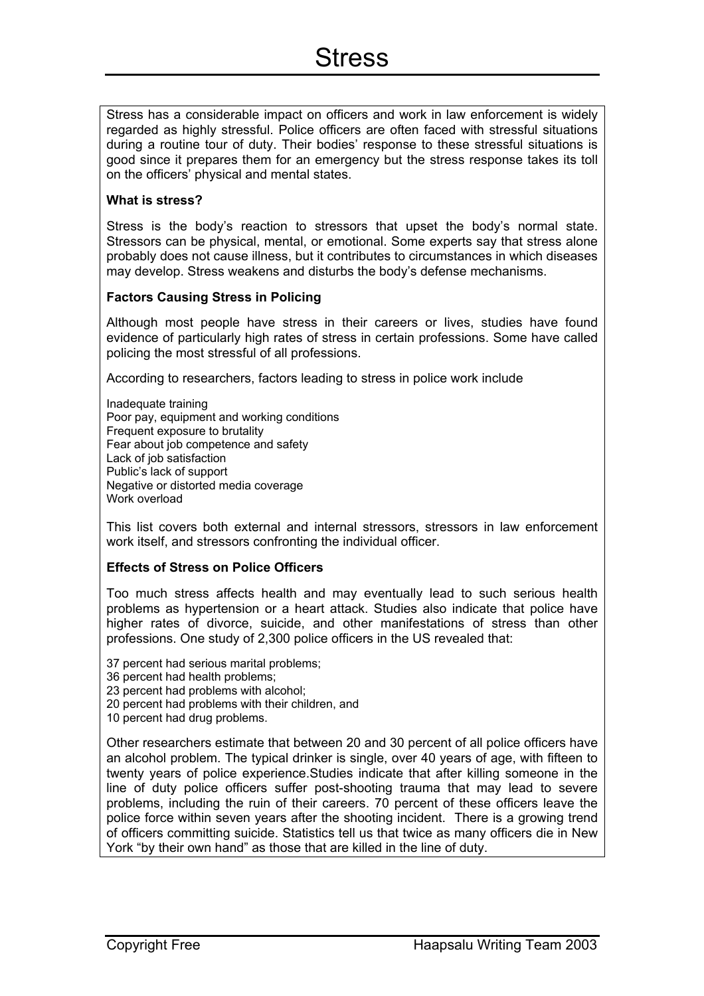Stress has a considerable impact on officers and work in law enforcement is widely regarded as highly stressful. Police officers are often faced with stressful situations during a routine tour of duty. Their bodies' response to these stressful situations is good since it prepares them for an emergency but the stress response takes its toll on the officers' physical and mental states.

## **What is stress?**

Stress is the body's reaction to stressors that upset the body's normal state. Stressors can be physical, mental, or emotional. Some experts say that stress alone probably does not cause illness, but it contributes to circumstances in which diseases may develop. Stress weakens and disturbs the body's defense mechanisms.

## **Factors Causing Stress in Policing**

Although most people have stress in their careers or lives, studies have found evidence of particularly high rates of stress in certain professions. Some have called policing the most stressful of all professions.

According to researchers, factors leading to stress in police work include

Inadequate training Poor pay, equipment and working conditions Frequent exposure to brutality Fear about job competence and safety Lack of job satisfaction Public's lack of support Negative or distorted media coverage Work overload

This list covers both external and internal stressors, stressors in law enforcement work itself, and stressors confronting the individual officer.

## **Effects of Stress on Police Officers**

Too much stress affects health and may eventually lead to such serious health problems as hypertension or a heart attack. Studies also indicate that police have higher rates of divorce, suicide, and other manifestations of stress than other professions. One study of 2,300 police officers in the US revealed that:

- 37 percent had serious marital problems;
- 36 percent had health problems;
- 23 percent had problems with alcohol;
- 20 percent had problems with their children, and
- 10 percent had drug problems.

Other researchers estimate that between 20 and 30 percent of all police officers have an alcohol problem. The typical drinker is single, over 40 years of age, with fifteen to twenty years of police experience.Studies indicate that after killing someone in the line of duty police officers suffer post-shooting trauma that may lead to severe problems, including the ruin of their careers. 70 percent of these officers leave the police force within seven years after the shooting incident. There is a growing trend of officers committing suicide. Statistics tell us that twice as many officers die in New York "by their own hand" as those that are killed in the line of duty.